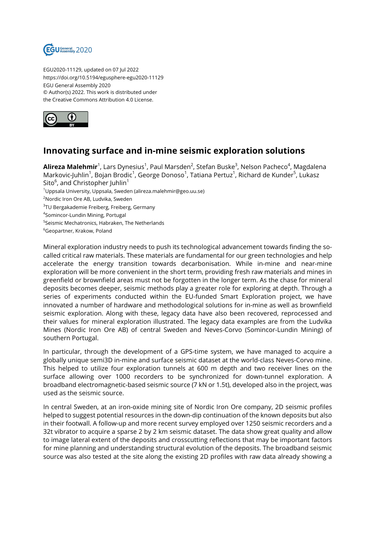

EGU2020-11129, updated on 07 Jul 2022 https://doi.org/10.5194/egusphere-egu2020-11129 EGU General Assembly 2020 © Author(s) 2022. This work is distributed under the Creative Commons Attribution 4.0 License.



## **Innovating surface and in-mine seismic exploration solutions**

**Alireza Malehmir**<sup>1</sup>, Lars Dynesius<sup>1</sup>, Paul Marsden<sup>2</sup>, Stefan Buske<sup>3</sup>, Nelson Pacheco<sup>4</sup>, Magdalena Markovic-Juhlin<sup>1</sup>, Bojan Brodic<sup>1</sup>, George Donoso<sup>1</sup>, Tatiana Pertuz<sup>1</sup>, Richard de Kunder<sup>5</sup>, Lukasz Sito $^6$ , and Christopher Juhlin $^1$ 

- <sup>1</sup>Uppsala University, Uppsala, Sweden (alireza.malehmir@geo.uu.se)
- <sup>2</sup>Nordic Iron Ore AB, Ludvika, Sweden
- $^3$ TU Bergakademie Freiberg, Freiberg, Germany
- 4 Somincor-Lundin Mining, Portugal
- 5 Seismic Mechatronics, Habraken, The Netherlands
- <sup>6</sup>Geopartner, Krakow, Poland

Mineral exploration industry needs to push its technological advancement towards finding the socalled critical raw materials. These materials are fundamental for our green technologies and help accelerate the energy transition towards decarbonisation. While in-mine and near-mine exploration will be more convenient in the short term, providing fresh raw materials and mines in greenfield or brownfield areas must not be forgotten in the longer term. As the chase for mineral deposits becomes deeper, seismic methods play a greater role for exploring at depth. Through a series of experiments conducted within the EU-funded Smart Exploration project, we have innovated a number of hardware and methodological solutions for in-mine as well as brownfield seismic exploration. Along with these, legacy data have also been recovered, reprocessed and their values for mineral exploration illustrated. The legacy data examples are from the Ludvika Mines (Nordic Iron Ore AB) of central Sweden and Neves-Corvo (Somincor-Lundin Mining) of southern Portugal.

In particular, through the development of a GPS-time system, we have managed to acquire a globally unique semi3D in-mine and surface seismic dataset at the world-class Neves-Corvo mine. This helped to utilize four exploration tunnels at 600 m depth and two receiver lines on the surface allowing over 1000 recorders to be synchronized for down-tunnel exploration. A broadband electromagnetic-based seismic source (7 kN or 1.5t), developed also in the project, was used as the seismic source.

In central Sweden, at an iron-oxide mining site of Nordic Iron Ore company, 2D seismic profiles helped to suggest potential resources in the down-dip continuation of the known deposits but also in their footwall. A follow-up and more recent survey employed over 1250 seismic recorders and a 32t vibrator to acquire a sparse 2 by 2 km seismic dataset. The data show great quality and allow to image lateral extent of the deposits and crosscutting reflections that may be important factors for mine planning and understanding structural evolution of the deposits. The broadband seismic source was also tested at the site along the existing 2D profiles with raw data already showing a